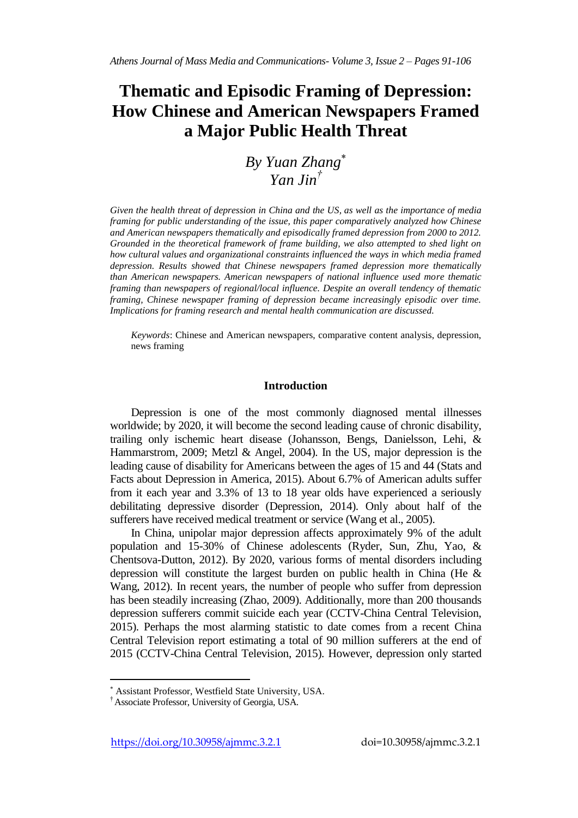# **Thematic and Episodic Framing of Depression: How Chinese and American Newspapers Framed a Major Public Health Threat**

## *By Yuan Zhang Yan Jin†*

*Given the health threat of depression in China and the US, as well as the importance of media framing for public understanding of the issue, this paper comparatively analyzed how Chinese and American newspapers thematically and episodically framed depression from 2000 to 2012. Grounded in the theoretical framework of frame building, we also attempted to shed light on how cultural values and organizational constraints influenced the ways in which media framed depression. Results showed that Chinese newspapers framed depression more thematically than American newspapers. American newspapers of national influence used more thematic framing than newspapers of regional/local influence. Despite an overall tendency of thematic framing, Chinese newspaper framing of depression became increasingly episodic over time. Implications for framing research and mental health communication are discussed.*

*Keywords*: Chinese and American newspapers, comparative content analysis, depression, news framing

## **Introduction**

Depression is one of the most commonly diagnosed mental illnesses worldwide; by 2020, it will become the second leading cause of chronic disability, trailing only ischemic heart disease (Johansson, Bengs, Danielsson, Lehi, & Hammarstrom, 2009; Metzl & Angel, 2004). In the US, major depression is the leading cause of disability for Americans between the ages of 15 and 44 (Stats and Facts about Depression in America, 2015). About 6.7% of American adults suffer from it each year and 3.3% of 13 to 18 year olds have experienced a seriously debilitating depressive disorder (Depression, 2014). Only about half of the sufferers have received medical treatment or service (Wang et al., 2005).

In China, unipolar major depression affects approximately 9% of the adult population and 15-30% of Chinese adolescents (Ryder, Sun, Zhu, Yao, & Chentsova-Dutton, 2012). By 2020, various forms of mental disorders including depression will constitute the largest burden on public health in China (He & Wang, 2012). In recent years, the number of people who suffer from depression has been steadily increasing (Zhao, 2009). Additionally, more than 200 thousands depression sufferers commit suicide each year (CCTV-China Central Television, 2015). Perhaps the most alarming statistic to date comes from a recent China Central Television report estimating a total of 90 million sufferers at the end of 2015 (CCTV-China Central Television, 2015). However, depression only started

https://doi.org/10.30958/ajmmc.3.2.1 doi=10.30958/ajmmc.3.2.1

 $\overline{\phantom{a}}$ 

Assistant Professor, Westfield State University, USA.

<sup>†</sup>Associate Professor, University of Georgia, USA.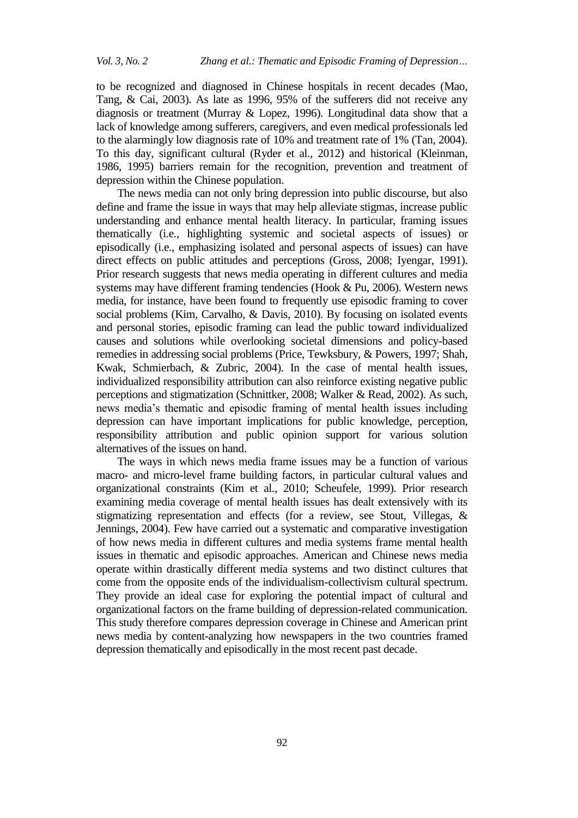to be recognized and diagnosed in Chinese hospitals in recent decades (Mao, Tang, & Cai, 2003). As late as 1996, 95% of the sufferers did not receive any diagnosis or treatment (Murray & Lopez, 1996). Longitudinal data show that a lack of knowledge among sufferers, caregivers, and even medical professionals led to the alarmingly low diagnosis rate of 10% and treatment rate of 1% (Tan, 2004). To this day, significant cultural (Ryder et al., 2012) and historical (Kleinman, 1986, 1995) barriers remain for the recognition, prevention and treatment of depression within the Chinese population.

The news media can not only bring depression into public discourse, but also define and frame the issue in ways that may help alleviate stigmas, increase public understanding and enhance mental health literacy. In particular, framing issues thematically (i.e., highlighting systemic and societal aspects of issues) or episodically (i.e., emphasizing isolated and personal aspects of issues) can have direct effects on public attitudes and perceptions (Gross, 2008; Iyengar, 1991). Prior research suggests that news media operating in different cultures and media systems may have different framing tendencies (Hook & Pu, 2006). Western news media, for instance, have been found to frequently use episodic framing to cover social problems (Kim, Carvalho, & Davis, 2010). By focusing on isolated events and personal stories, episodic framing can lead the public toward individualized causes and solutions while overlooking societal dimensions and policy-based remedies in addressing social problems (Price, Tewksbury, & Powers, 1997; Shah, Kwak, Schmierbach, & Zubric, 2004). In the case of mental health issues, individualized responsibility attribution can also reinforce existing negative public perceptions and stigmatization (Schnittker, 2008; Walker & Read, 2002). As such, news media's thematic and episodic framing of mental health issues including depression can have important implications for public knowledge, perception, responsibility attribution and public opinion support for various solution alternatives of the issues on hand.

The ways in which news media frame issues may be a function of various macro- and micro-level frame building factors, in particular cultural values and organizational constraints (Kim et al., 2010; Scheufele, 1999). Prior research examining media coverage of mental health issues has dealt extensively with its stigmatizing representation and effects (for a review, see Stout, Villegas, & Jennings, 2004). Few have carried out a systematic and comparative investigation of how news media in different cultures and media systems frame mental health issues in thematic and episodic approaches. American and Chinese news media operate within drastically different media systems and two distinct cultures that come from the opposite ends of the individualism-collectivism cultural spectrum. They provide an ideal case for exploring the potential impact of cultural and organizational factors on the frame building of depression-related communication. This study therefore compares depression coverage in Chinese and American print news media by content-analyzing how newspapers in the two countries framed depression thematically and episodically in the most recent past decade.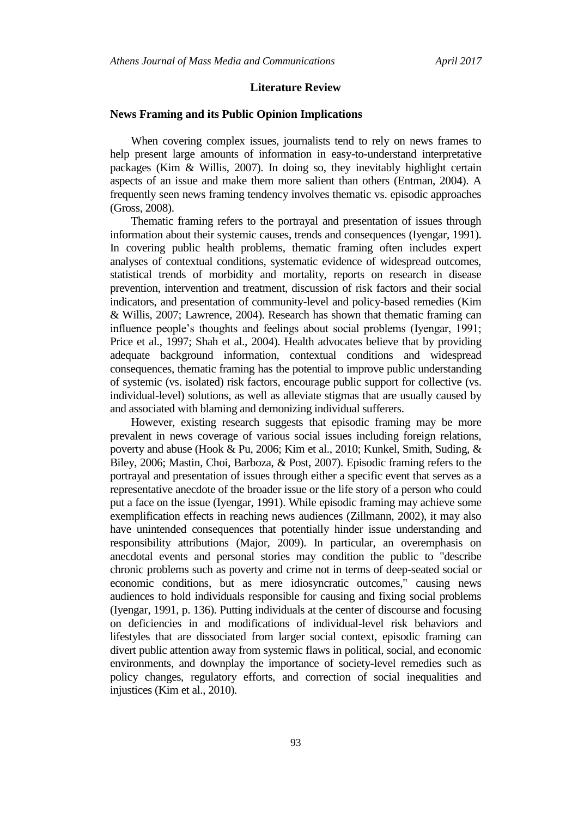#### **Literature Review**

#### **News Framing and its Public Opinion Implications**

When covering complex issues, journalists tend to rely on news frames to help present large amounts of information in easy-to-understand interpretative packages (Kim & Willis, 2007). In doing so, they inevitably highlight certain aspects of an issue and make them more salient than others (Entman, 2004). A frequently seen news framing tendency involves thematic vs. episodic approaches (Gross, 2008).

Thematic framing refers to the portrayal and presentation of issues through information about their systemic causes, trends and consequences (Iyengar, 1991). In covering public health problems, thematic framing often includes expert analyses of contextual conditions, systematic evidence of widespread outcomes, statistical trends of morbidity and mortality, reports on research in disease prevention, intervention and treatment, discussion of risk factors and their social indicators, and presentation of community-level and policy-based remedies (Kim & Willis, 2007; Lawrence, 2004). Research has shown that thematic framing can influence people's thoughts and feelings about social problems (Iyengar, 1991; Price et al., 1997; Shah et al., 2004). Health advocates believe that by providing adequate background information, contextual conditions and widespread consequences, thematic framing has the potential to improve public understanding of systemic (vs. isolated) risk factors, encourage public support for collective (vs. individual-level) solutions, as well as alleviate stigmas that are usually caused by and associated with blaming and demonizing individual sufferers.

However, existing research suggests that episodic framing may be more prevalent in news coverage of various social issues including foreign relations, poverty and abuse (Hook & Pu, 2006; Kim et al., 2010; Kunkel, Smith, Suding, & Biley, 2006; Mastin, Choi, Barboza, & Post, 2007). Episodic framing refers to the portrayal and presentation of issues through either a specific event that serves as a representative anecdote of the broader issue or the life story of a person who could put a face on the issue (Iyengar, 1991). While episodic framing may achieve some exemplification effects in reaching news audiences (Zillmann, 2002), it may also have unintended consequences that potentially hinder issue understanding and responsibility attributions (Major, 2009). In particular, an overemphasis on anecdotal events and personal stories may condition the public to "describe chronic problems such as poverty and crime not in terms of deep-seated social or economic conditions, but as mere idiosyncratic outcomes," causing news audiences to hold individuals responsible for causing and fixing social problems (Iyengar, 1991, p. 136). Putting individuals at the center of discourse and focusing on deficiencies in and modifications of individual-level risk behaviors and lifestyles that are dissociated from larger social context, episodic framing can divert public attention away from systemic flaws in political, social, and economic environments, and downplay the importance of society-level remedies such as policy changes, regulatory efforts, and correction of social inequalities and injustices (Kim et al., 2010).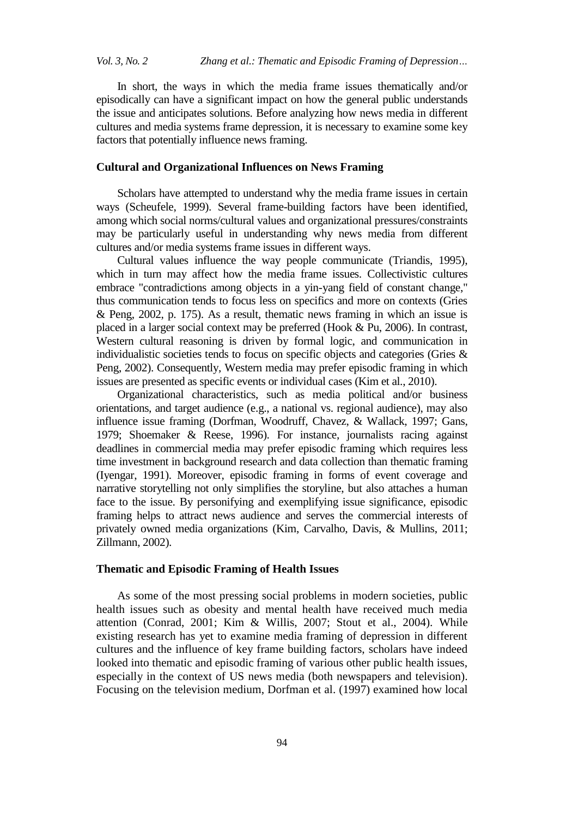In short, the ways in which the media frame issues thematically and/or episodically can have a significant impact on how the general public understands the issue and anticipates solutions. Before analyzing how news media in different cultures and media systems frame depression, it is necessary to examine some key factors that potentially influence news framing.

### **Cultural and Organizational Influences on News Framing**

Scholars have attempted to understand why the media frame issues in certain ways (Scheufele, 1999). Several frame-building factors have been identified, among which social norms/cultural values and organizational pressures/constraints may be particularly useful in understanding why news media from different cultures and/or media systems frame issues in different ways.

Cultural values influence the way people communicate (Triandis, 1995), which in turn may affect how the media frame issues. Collectivistic cultures embrace "contradictions among objects in a yin-yang field of constant change," thus communication tends to focus less on specifics and more on contexts (Gries & Peng, 2002, p. 175). As a result, thematic news framing in which an issue is placed in a larger social context may be preferred (Hook & Pu, 2006). In contrast, Western cultural reasoning is driven by formal logic, and communication in individualistic societies tends to focus on specific objects and categories (Gries & Peng, 2002). Consequently, Western media may prefer episodic framing in which issues are presented as specific events or individual cases (Kim et al., 2010).

Organizational characteristics, such as media political and/or business orientations, and target audience (e.g., a national vs. regional audience), may also influence issue framing (Dorfman, Woodruff, Chavez, & Wallack, 1997; Gans, 1979; Shoemaker & Reese, 1996). For instance, journalists racing against deadlines in commercial media may prefer episodic framing which requires less time investment in background research and data collection than thematic framing (Iyengar, 1991). Moreover, episodic framing in forms of event coverage and narrative storytelling not only simplifies the storyline, but also attaches a human face to the issue. By personifying and exemplifying issue significance, episodic framing helps to attract news audience and serves the commercial interests of privately owned media organizations (Kim, Carvalho, Davis, & Mullins, 2011; Zillmann, 2002).

#### **Thematic and Episodic Framing of Health Issues**

As some of the most pressing social problems in modern societies, public health issues such as obesity and mental health have received much media attention (Conrad, 2001; Kim & Willis, 2007; Stout et al., 2004). While existing research has yet to examine media framing of depression in different cultures and the influence of key frame building factors, scholars have indeed looked into thematic and episodic framing of various other public health issues, especially in the context of US news media (both newspapers and television). Focusing on the television medium, Dorfman et al. (1997) examined how local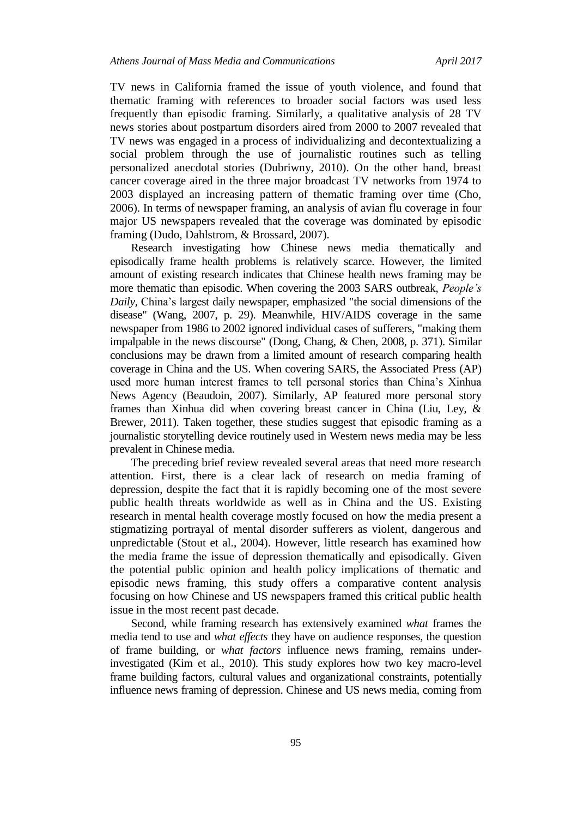TV news in California framed the issue of youth violence, and found that thematic framing with references to broader social factors was used less frequently than episodic framing. Similarly, a qualitative analysis of 28 TV news stories about postpartum disorders aired from 2000 to 2007 revealed that TV news was engaged in a process of individualizing and decontextualizing a social problem through the use of journalistic routines such as telling personalized anecdotal stories (Dubriwny, 2010). On the other hand, breast cancer coverage aired in the three major broadcast TV networks from 1974 to 2003 displayed an increasing pattern of thematic framing over time (Cho, 2006). In terms of newspaper framing, an analysis of avian flu coverage in four major US newspapers revealed that the coverage was dominated by episodic framing (Dudo, Dahlstrom, & Brossard, 2007).

Research investigating how Chinese news media thematically and episodically frame health problems is relatively scarce. However, the limited amount of existing research indicates that Chinese health news framing may be more thematic than episodic. When covering the 2003 SARS outbreak, *People's Daily,* China's largest daily newspaper, emphasized "the social dimensions of the disease" (Wang, 2007, p. 29). Meanwhile, HIV/AIDS coverage in the same newspaper from 1986 to 2002 ignored individual cases of sufferers, "making them impalpable in the news discourse" (Dong, Chang, & Chen, 2008, p. 371). Similar conclusions may be drawn from a limited amount of research comparing health coverage in China and the US. When covering SARS, the Associated Press (AP) used more human interest frames to tell personal stories than China's Xinhua News Agency (Beaudoin, 2007). Similarly, AP featured more personal story frames than Xinhua did when covering breast cancer in China (Liu, Ley, & Brewer, 2011). Taken together, these studies suggest that episodic framing as a journalistic storytelling device routinely used in Western news media may be less prevalent in Chinese media.

The preceding brief review revealed several areas that need more research attention. First, there is a clear lack of research on media framing of depression, despite the fact that it is rapidly becoming one of the most severe public health threats worldwide as well as in China and the US. Existing research in mental health coverage mostly focused on how the media present a stigmatizing portrayal of mental disorder sufferers as violent, dangerous and unpredictable (Stout et al., 2004). However, little research has examined how the media frame the issue of depression thematically and episodically. Given the potential public opinion and health policy implications of thematic and episodic news framing, this study offers a comparative content analysis focusing on how Chinese and US newspapers framed this critical public health issue in the most recent past decade.

Second, while framing research has extensively examined *what* frames the media tend to use and *what effects* they have on audience responses, the question of frame building, or *what factors* influence news framing, remains underinvestigated (Kim et al., 2010). This study explores how two key macro-level frame building factors, cultural values and organizational constraints, potentially influence news framing of depression. Chinese and US news media, coming from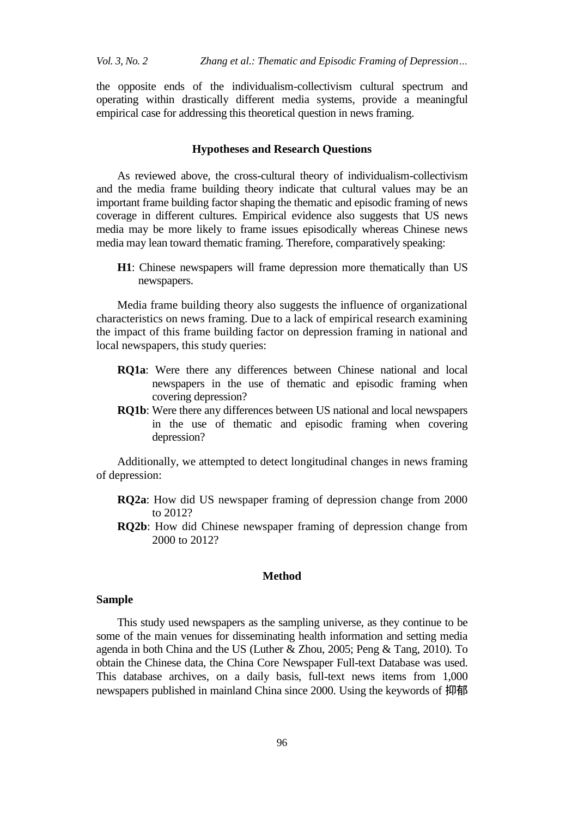the opposite ends of the individualism-collectivism cultural spectrum and operating within drastically different media systems, provide a meaningful empirical case for addressing this theoretical question in news framing.

## **Hypotheses and Research Questions**

As reviewed above, the cross-cultural theory of individualism-collectivism and the media frame building theory indicate that cultural values may be an important frame building factor shaping the thematic and episodic framing of news coverage in different cultures. Empirical evidence also suggests that US news media may be more likely to frame issues episodically whereas Chinese news media may lean toward thematic framing. Therefore, comparatively speaking:

**H1**: Chinese newspapers will frame depression more thematically than US newspapers.

Media frame building theory also suggests the influence of organizational characteristics on news framing. Due to a lack of empirical research examining the impact of this frame building factor on depression framing in national and local newspapers, this study queries:

- **RQ1a**: Were there any differences between Chinese national and local newspapers in the use of thematic and episodic framing when covering depression?
- **RQ1b**: Were there any differences between US national and local newspapers in the use of thematic and episodic framing when covering depression?

Additionally, we attempted to detect longitudinal changes in news framing of depression:

- **RQ2a**: How did US newspaper framing of depression change from 2000 to 2012?
- **RQ2b**: How did Chinese newspaper framing of depression change from 2000 to 2012?

#### **Method**

## **Sample**

This study used newspapers as the sampling universe, as they continue to be some of the main venues for disseminating health information and setting media agenda in both China and the US (Luther & Zhou, 2005; Peng & Tang, 2010). To obtain the Chinese data, the China Core Newspaper Full-text Database was used. This database archives, on a daily basis, full-text news items from 1,000 newspapers published in mainland China since 2000. Using the keywords of 抑郁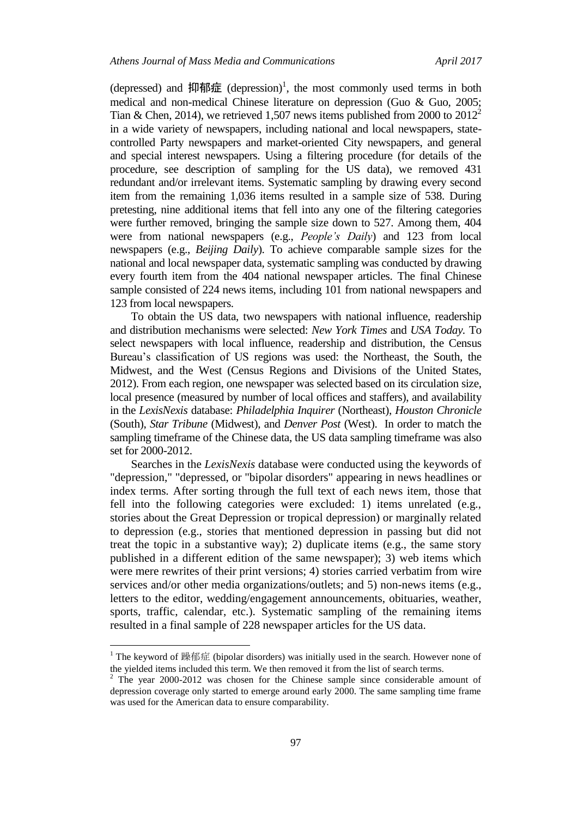(depressed) and 抑郁症 (depression)<sup>1</sup>, the most commonly used terms in both medical and non-medical Chinese literature on depression (Guo & Guo, 2005; Tian & Chen, 2014), we retrieved 1,507 news items published from 2000 to  $2012^2$ in a wide variety of newspapers, including national and local newspapers, statecontrolled Party newspapers and market-oriented City newspapers, and general and special interest newspapers. Using a filtering procedure (for details of the procedure, see description of sampling for the US data), we removed 431 redundant and/or irrelevant items. Systematic sampling by drawing every second item from the remaining 1,036 items resulted in a sample size of 538. During pretesting, nine additional items that fell into any one of the filtering categories were further removed, bringing the sample size down to 527. Among them, 404 were from national newspapers (e.g., *People's Daily*) and 123 from local newspapers (e.g., *Beijing Daily*). To achieve comparable sample sizes for the national and local newspaper data, systematic sampling was conducted by drawing every fourth item from the 404 national newspaper articles. The final Chinese sample consisted of 224 news items, including 101 from national newspapers and 123 from local newspapers.

To obtain the US data, two newspapers with national influence, readership and distribution mechanisms were selected: *New York Times* and *USA Today.* To select newspapers with local influence, readership and distribution, the Census Bureau's classification of US regions was used: the Northeast, the South, the Midwest, and the West (Census Regions and Divisions of the United States, 2012). From each region, one newspaper was selected based on its circulation size, local presence (measured by number of local offices and staffers), and availability in the *LexisNexis* database: *Philadelphia Inquirer* (Northeast), *Houston Chronicle*  (South), *Star Tribune* (Midwest), and *Denver Post* (West). In order to match the sampling timeframe of the Chinese data, the US data sampling timeframe was also set for 2000-2012.

Searches in the *LexisNexis* database were conducted using the keywords of "depression," "depressed, or "bipolar disorders" appearing in news headlines or index terms*.* After sorting through the full text of each news item, those that fell into the following categories were excluded: 1) items unrelated (e.g., stories about the Great Depression or tropical depression) or marginally related to depression (e.g., stories that mentioned depression in passing but did not treat the topic in a substantive way); 2) duplicate items (e.g., the same story published in a different edition of the same newspaper); 3) web items which were mere rewrites of their print versions; 4) stories carried verbatim from wire services and/or other media organizations/outlets; and 5) non-news items (e.g., letters to the editor, wedding/engagement announcements, obituaries, weather, sports, traffic, calendar, etc.). Systematic sampling of the remaining items resulted in a final sample of 228 newspaper articles for the US data.

 $\overline{\phantom{a}}$ 

 $1$  The keyword of 躁郁症 (bipolar disorders) was initially used in the search. However none of the yielded items included this term. We then removed it from the list of search terms.

 $2$  The year 2000-2012 was chosen for the Chinese sample since considerable amount of depression coverage only started to emerge around early 2000. The same sampling time frame was used for the American data to ensure comparability.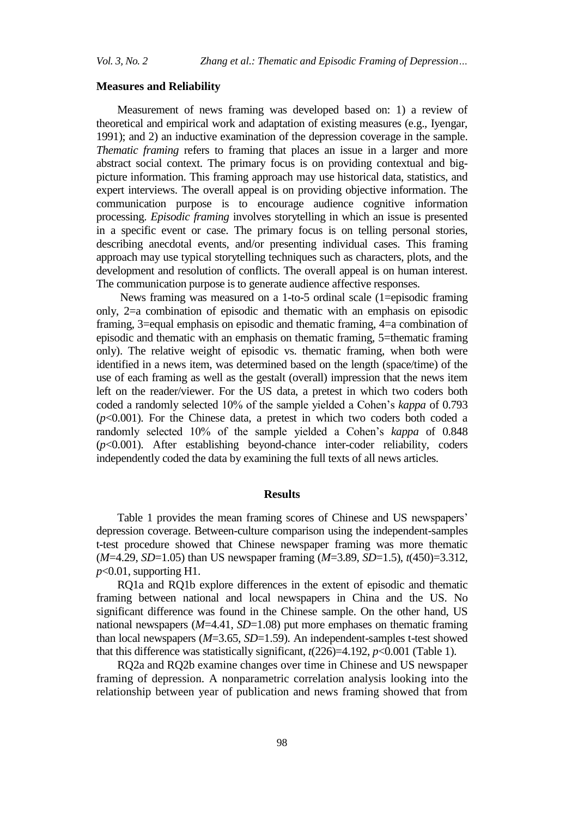#### **Measures and Reliability**

Measurement of news framing was developed based on: 1) a review of theoretical and empirical work and adaptation of existing measures (e.g., Iyengar, 1991); and 2) an inductive examination of the depression coverage in the sample. *Thematic framing* refers to framing that places an issue in a larger and more abstract social context. The primary focus is on providing contextual and bigpicture information. This framing approach may use historical data, statistics, and expert interviews. The overall appeal is on providing objective information. The communication purpose is to encourage audience cognitive information processing. *Episodic framing* involves storytelling in which an issue is presented in a specific event or case. The primary focus is on telling personal stories, describing anecdotal events, and/or presenting individual cases. This framing approach may use typical storytelling techniques such as characters, plots, and the development and resolution of conflicts. The overall appeal is on human interest. The communication purpose is to generate audience affective responses.

News framing was measured on a 1-to-5 ordinal scale (1=episodic framing only, 2=a combination of episodic and thematic with an emphasis on episodic framing, 3=equal emphasis on episodic and thematic framing, 4=a combination of episodic and thematic with an emphasis on thematic framing, 5=thematic framing only). The relative weight of episodic vs. thematic framing, when both were identified in a news item, was determined based on the length (space/time) of the use of each framing as well as the gestalt (overall) impression that the news item left on the reader/viewer. For the US data, a pretest in which two coders both coded a randomly selected 10% of the sample yielded a Cohen's *kappa* of 0.793  $(p<0.001)$ . For the Chinese data, a pretest in which two coders both coded a randomly selected 10% of the sample yielded a Cohen's *kappa* of 0.848 (*p*<0.001). After establishing beyond-chance inter-coder reliability, coders independently coded the data by examining the full texts of all news articles.

#### **Results**

Table 1 provides the mean framing scores of Chinese and US newspapers' depression coverage. Between-culture comparison using the independent-samples t-test procedure showed that Chinese newspaper framing was more thematic (*M*=4.29, *SD*=1.05) than US newspaper framing (*M*=3.89, *SD*=1.5), *t*(450)=3.312, *p*<0.01, supporting H1.

RQ1a and RQ1b explore differences in the extent of episodic and thematic framing between national and local newspapers in China and the US. No significant difference was found in the Chinese sample. On the other hand, US national newspapers (*M*=4.41, *SD*=1.08) put more emphases on thematic framing than local newspapers (*M*=3.65, *SD*=1.59). An independent-samples t-test showed that this difference was statistically significant,  $t(226)=4.192$ ,  $p<0.001$  (Table 1).

RQ2a and RQ2b examine changes over time in Chinese and US newspaper framing of depression. A nonparametric correlation analysis looking into the relationship between year of publication and news framing showed that from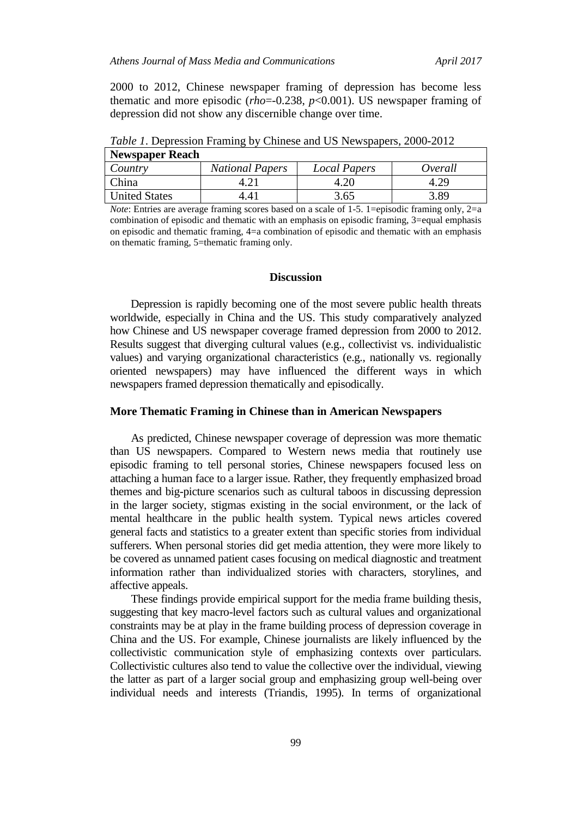2000 to 2012, Chinese newspaper framing of depression has become less thematic and more episodic (*rho*=-0.238, *p*<0.001). US newspaper framing of depression did not show any discernible change over time.

| <b>Newspaper Reach</b> |                        |                     |         |
|------------------------|------------------------|---------------------|---------|
| Country                | <b>National Papers</b> | <b>Local Papers</b> | Overall |
| China                  |                        |                     |         |
| <b>United States</b>   |                        | 3.65                | 3.89    |

*Table 1*. Depression Framing by Chinese and US Newspapers, 2000-2012

*Note*: Entries are average framing scores based on a scale of 1-5. 1=episodic framing only, 2=a combination of episodic and thematic with an emphasis on episodic framing, 3=equal emphasis on episodic and thematic framing, 4=a combination of episodic and thematic with an emphasis on thematic framing, 5=thematic framing only.

#### **Discussion**

Depression is rapidly becoming one of the most severe public health threats worldwide, especially in China and the US. This study comparatively analyzed how Chinese and US newspaper coverage framed depression from 2000 to 2012. Results suggest that diverging cultural values (e.g., collectivist vs. individualistic values) and varying organizational characteristics (e.g., nationally vs. regionally oriented newspapers) may have influenced the different ways in which newspapers framed depression thematically and episodically.

### **More Thematic Framing in Chinese than in American Newspapers**

As predicted, Chinese newspaper coverage of depression was more thematic than US newspapers. Compared to Western news media that routinely use episodic framing to tell personal stories, Chinese newspapers focused less on attaching a human face to a larger issue. Rather, they frequently emphasized broad themes and big-picture scenarios such as cultural taboos in discussing depression in the larger society, stigmas existing in the social environment, or the lack of mental healthcare in the public health system. Typical news articles covered general facts and statistics to a greater extent than specific stories from individual sufferers. When personal stories did get media attention, they were more likely to be covered as unnamed patient cases focusing on medical diagnostic and treatment information rather than individualized stories with characters, storylines, and affective appeals.

These findings provide empirical support for the media frame building thesis, suggesting that key macro-level factors such as cultural values and organizational constraints may be at play in the frame building process of depression coverage in China and the US. For example, Chinese journalists are likely influenced by the collectivistic communication style of emphasizing contexts over particulars. Collectivistic cultures also tend to value the collective over the individual, viewing the latter as part of a larger social group and emphasizing group well-being over individual needs and interests (Triandis, 1995). In terms of organizational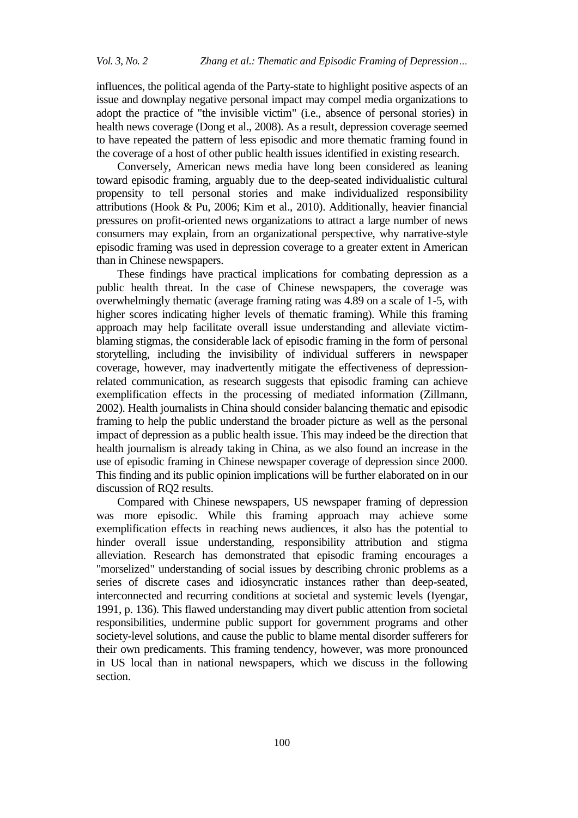influences, the political agenda of the Party-state to highlight positive aspects of an issue and downplay negative personal impact may compel media organizations to adopt the practice of "the invisible victim" (i.e., absence of personal stories) in health news coverage (Dong et al., 2008). As a result, depression coverage seemed to have repeated the pattern of less episodic and more thematic framing found in the coverage of a host of other public health issues identified in existing research.

Conversely, American news media have long been considered as leaning toward episodic framing, arguably due to the deep-seated individualistic cultural propensity to tell personal stories and make individualized responsibility attributions (Hook & Pu, 2006; Kim et al., 2010). Additionally, heavier financial pressures on profit-oriented news organizations to attract a large number of news consumers may explain, from an organizational perspective, why narrative-style episodic framing was used in depression coverage to a greater extent in American than in Chinese newspapers.

These findings have practical implications for combating depression as a public health threat. In the case of Chinese newspapers, the coverage was overwhelmingly thematic (average framing rating was 4.89 on a scale of 1-5, with higher scores indicating higher levels of thematic framing). While this framing approach may help facilitate overall issue understanding and alleviate victimblaming stigmas, the considerable lack of episodic framing in the form of personal storytelling, including the invisibility of individual sufferers in newspaper coverage, however, may inadvertently mitigate the effectiveness of depressionrelated communication, as research suggests that episodic framing can achieve exemplification effects in the processing of mediated information (Zillmann, 2002). Health journalists in China should consider balancing thematic and episodic framing to help the public understand the broader picture as well as the personal impact of depression as a public health issue. This may indeed be the direction that health journalism is already taking in China, as we also found an increase in the use of episodic framing in Chinese newspaper coverage of depression since 2000. This finding and its public opinion implications will be further elaborated on in our discussion of RQ2 results.

Compared with Chinese newspapers, US newspaper framing of depression was more episodic. While this framing approach may achieve some exemplification effects in reaching news audiences, it also has the potential to hinder overall issue understanding, responsibility attribution and stigma alleviation. Research has demonstrated that episodic framing encourages a "morselized" understanding of social issues by describing chronic problems as a series of discrete cases and idiosyncratic instances rather than deep-seated, interconnected and recurring conditions at societal and systemic levels (Iyengar, 1991, p. 136). This flawed understanding may divert public attention from societal responsibilities, undermine public support for government programs and other society-level solutions, and cause the public to blame mental disorder sufferers for their own predicaments. This framing tendency, however, was more pronounced in US local than in national newspapers, which we discuss in the following section.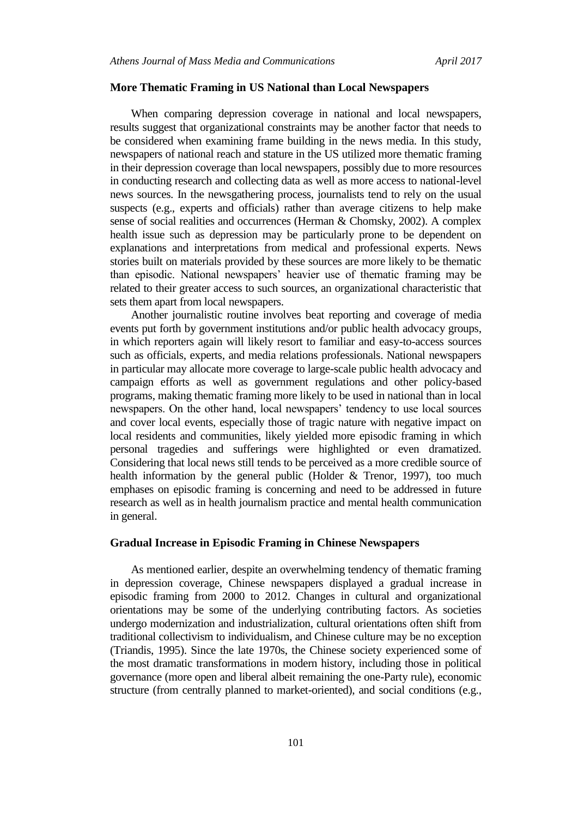#### **More Thematic Framing in US National than Local Newspapers**

When comparing depression coverage in national and local newspapers, results suggest that organizational constraints may be another factor that needs to be considered when examining frame building in the news media. In this study, newspapers of national reach and stature in the US utilized more thematic framing in their depression coverage than local newspapers, possibly due to more resources in conducting research and collecting data as well as more access to national-level news sources. In the newsgathering process, journalists tend to rely on the usual suspects (e.g., experts and officials) rather than average citizens to help make sense of social realities and occurrences (Herman & Chomsky, 2002). A complex health issue such as depression may be particularly prone to be dependent on explanations and interpretations from medical and professional experts. News stories built on materials provided by these sources are more likely to be thematic than episodic. National newspapers' heavier use of thematic framing may be related to their greater access to such sources, an organizational characteristic that sets them apart from local newspapers.

Another journalistic routine involves beat reporting and coverage of media events put forth by government institutions and/or public health advocacy groups, in which reporters again will likely resort to familiar and easy-to-access sources such as officials, experts, and media relations professionals. National newspapers in particular may allocate more coverage to large-scale public health advocacy and campaign efforts as well as government regulations and other policy-based programs, making thematic framing more likely to be used in national than in local newspapers. On the other hand, local newspapers' tendency to use local sources and cover local events, especially those of tragic nature with negative impact on local residents and communities, likely yielded more episodic framing in which personal tragedies and sufferings were highlighted or even dramatized. Considering that local news still tends to be perceived as a more credible source of health information by the general public (Holder & Trenor, 1997), too much emphases on episodic framing is concerning and need to be addressed in future research as well as in health journalism practice and mental health communication in general.

#### **Gradual Increase in Episodic Framing in Chinese Newspapers**

As mentioned earlier, despite an overwhelming tendency of thematic framing in depression coverage, Chinese newspapers displayed a gradual increase in episodic framing from 2000 to 2012. Changes in cultural and organizational orientations may be some of the underlying contributing factors. As societies undergo modernization and industrialization, cultural orientations often shift from traditional collectivism to individualism, and Chinese culture may be no exception (Triandis, 1995). Since the late 1970s, the Chinese society experienced some of the most dramatic transformations in modern history, including those in political governance (more open and liberal albeit remaining the one-Party rule), economic structure (from centrally planned to market-oriented), and social conditions (e.g.,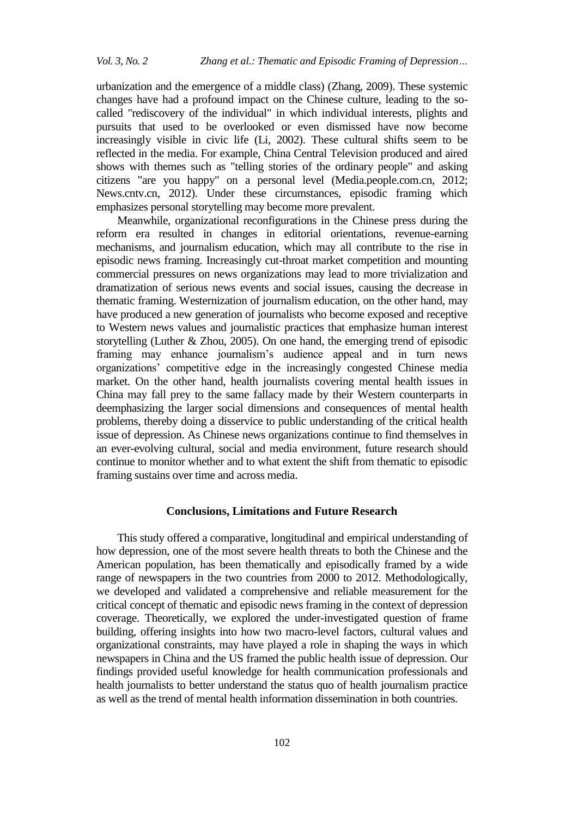urbanization and the emergence of a middle class) (Zhang, 2009). These systemic changes have had a profound impact on the Chinese culture, leading to the socalled "rediscovery of the individual" in which individual interests, plights and pursuits that used to be overlooked or even dismissed have now become increasingly visible in civic life (Li, 2002). These cultural shifts seem to be reflected in the media. For example, China Central Television produced and aired shows with themes such as "telling stories of the ordinary people" and asking citizens "are you happy" on a personal level (Media.people.com.cn, 2012; News.cntv.cn, 2012). Under these circumstances, episodic framing which emphasizes personal storytelling may become more prevalent.

Meanwhile, organizational reconfigurations in the Chinese press during the reform era resulted in changes in editorial orientations, revenue-earning mechanisms, and journalism education, which may all contribute to the rise in episodic news framing. Increasingly cut-throat market competition and mounting commercial pressures on news organizations may lead to more trivialization and dramatization of serious news events and social issues, causing the decrease in thematic framing. Westernization of journalism education, on the other hand, may have produced a new generation of journalists who become exposed and receptive to Western news values and journalistic practices that emphasize human interest storytelling (Luther & Zhou, 2005). On one hand, the emerging trend of episodic framing may enhance journalism's audience appeal and in turn news organizations' competitive edge in the increasingly congested Chinese media market. On the other hand, health journalists covering mental health issues in China may fall prey to the same fallacy made by their Western counterparts in deemphasizing the larger social dimensions and consequences of mental health problems, thereby doing a disservice to public understanding of the critical health issue of depression. As Chinese news organizations continue to find themselves in an ever-evolving cultural, social and media environment, future research should continue to monitor whether and to what extent the shift from thematic to episodic framing sustains over time and across media.

### **Conclusions, Limitations and Future Research**

This study offered a comparative, longitudinal and empirical understanding of how depression, one of the most severe health threats to both the Chinese and the American population, has been thematically and episodically framed by a wide range of newspapers in the two countries from 2000 to 2012. Methodologically, we developed and validated a comprehensive and reliable measurement for the critical concept of thematic and episodic news framing in the context of depression coverage. Theoretically, we explored the under-investigated question of frame building, offering insights into how two macro-level factors, cultural values and organizational constraints, may have played a role in shaping the ways in which newspapers in China and the US framed the public health issue of depression. Our findings provided useful knowledge for health communication professionals and health journalists to better understand the status quo of health journalism practice as well as the trend of mental health information dissemination in both countries.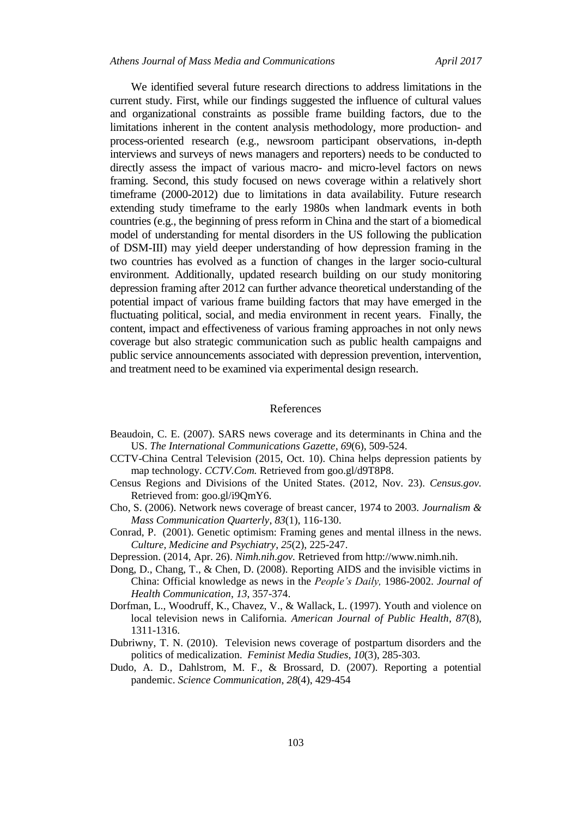We identified several future research directions to address limitations in the current study. First, while our findings suggested the influence of cultural values and organizational constraints as possible frame building factors, due to the limitations inherent in the content analysis methodology, more production- and process-oriented research (e.g., newsroom participant observations, in-depth interviews and surveys of news managers and reporters) needs to be conducted to directly assess the impact of various macro- and micro-level factors on news framing. Second, this study focused on news coverage within a relatively short timeframe (2000-2012) due to limitations in data availability. Future research extending study timeframe to the early 1980s when landmark events in both countries (e.g., the beginning of press reform in China and the start of a biomedical model of understanding for mental disorders in the US following the publication of DSM-III) may yield deeper understanding of how depression framing in the two countries has evolved as a function of changes in the larger socio-cultural environment. Additionally, updated research building on our study monitoring depression framing after 2012 can further advance theoretical understanding of the potential impact of various frame building factors that may have emerged in the fluctuating political, social, and media environment in recent years. Finally, the content, impact and effectiveness of various framing approaches in not only news coverage but also strategic communication such as public health campaigns and public service announcements associated with depression prevention, intervention, and treatment need to be examined via experimental design research.

#### References

- Beaudoin, C. E. (2007). SARS news coverage and its determinants in China and the US. *The International Communications Gazette*, *69*(6), 509-524.
- CCTV-China Central Television (2015, Oct. 10). China helps depression patients by map technology. *CCTV.Com.* Retrieved from goo.gl/d9T8P8.
- Census Regions and Divisions of the United States. (2012, Nov. 23). *Census.gov.*  Retrieved from: goo.gl/i9QmY6.
- Cho, S. (2006). Network news coverage of breast cancer, 1974 to 2003. *Journalism & Mass Communication Quarterly*, *83*(1), 116-130.
- Conrad, P. (2001). Genetic optimism: Framing genes and mental illness in the news. *Culture, Medicine and Psychiatry*, *25*(2), 225-247.
- Depression. (2014, Apr. 26). *Nimh.nih.gov.* Retrieved from http://www.nimh.nih.
- Dong, D., Chang, T., & Chen, D. (2008). Reporting AIDS and the invisible victims in China: Official knowledge as news in the *People's Daily,* 1986-2002. *Journal of Health Communication*, *13*, 357-374.
- Dorfman, L., Woodruff, K., Chavez, V., & Wallack, L. (1997). Youth and violence on local television news in California. *American Journal of Public Health*, *87*(8), 1311-1316.
- Dubriwny, T. N. (2010). Television news coverage of postpartum disorders and the politics of medicalization. *Feminist Media Studies*, *10*(3), 285-303.
- Dudo, A. D., Dahlstrom, M. F., & Brossard, D. (2007). Reporting a potential pandemic. *Science Communication*, *28*(4), 429-454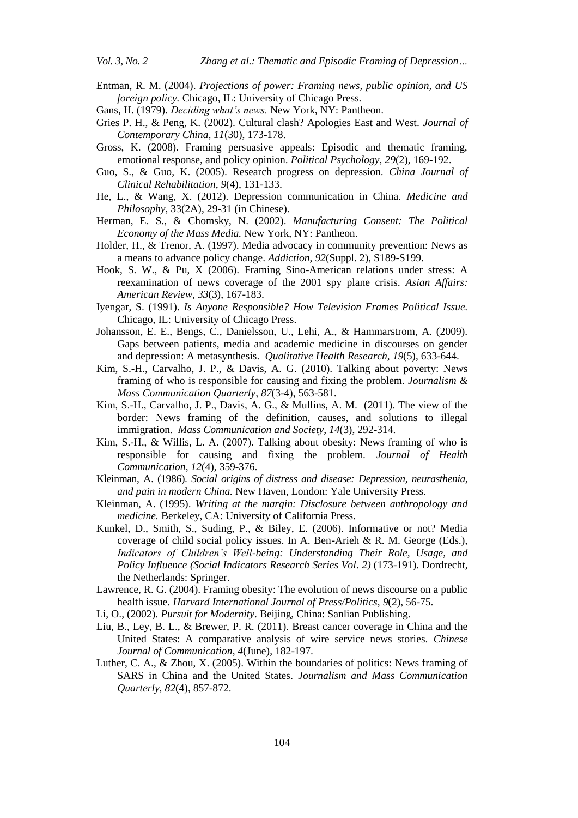- Entman, R. M. (2004). *Projections of power: Framing news, public opinion, and US foreign policy.* Chicago, IL: University of Chicago Press.
- Gans, H. (1979). *Deciding what's news.* New York, NY: Pantheon.
- Gries P. H., & Peng, K. (2002). Cultural clash? Apologies East and West. *Journal of Contemporary China*, *11*(30), 173-178.
- Gross, K. (2008). Framing persuasive appeals: Episodic and thematic framing, emotional response, and policy opinion. *Political Psychology*, *29*(2), 169-192.
- Guo, S., & Guo, K. (2005). Research progress on depression. *China Journal of Clinical Rehabilitation*, *9*(4), 131-133.
- He, L., & Wang, X. (2012). Depression communication in China. *Medicine and Philosophy*, 33(2A), 29-31 (in Chinese).
- Herman, E. S., & Chomsky, N. (2002). *Manufacturing Consent: The Political Economy of the Mass Media.* New York, NY: Pantheon.
- Holder, H., & Trenor, A. (1997). Media advocacy in community prevention: News as a means to advance policy change. *Addiction*, *92*(Suppl. 2), S189-S199.
- Hook, S. W., & Pu, X (2006). Framing Sino-American relations under stress: A reexamination of news coverage of the 2001 spy plane crisis. *Asian Affairs: American Review*, *33*(3), 167-183.
- Iyengar, S. (1991). *Is Anyone Responsible? How Television Frames Political Issue.*  Chicago, IL: University of Chicago Press.
- Johansson, E. E., Bengs, C., Danielsson, U., Lehi, A., & Hammarstrom, A. (2009). Gaps between patients, media and academic medicine in discourses on gender and depression: A metasynthesis. *Qualitative Health Research*, *19*(5), 633-644.
- Kim, S.-H., Carvalho, J. P., & Davis, A. G. (2010). Talking about poverty: News framing of who is responsible for causing and fixing the problem. *Journalism & Mass Communication Quarterly*, *87*(3-4), 563-581.
- Kim, S.-H., Carvalho, J. P., Davis, A. G., & Mullins, A. M. (2011). The view of the border: News framing of the definition, causes, and solutions to illegal immigration. *Mass Communication and Society*, *14*(3), 292-314.
- Kim, S.-H., & Willis, L. A. (2007). Talking about obesity: News framing of who is responsible for causing and fixing the problem. *Journal of Health Communication*, *12*(4), 359-376.
- Kleinman, A. (1986). *Social origins of distress and disease: Depression, neurasthenia, and pain in modern China.* New Haven, London: Yale University Press.
- Kleinman, A. (1995). *Writing at the margin: Disclosure between anthropology and medicine.* Berkeley, CA: University of California Press.
- Kunkel, D., Smith, S., Suding, P., & Biley, E. (2006). Informative or not? Media coverage of child social policy issues. In A. Ben-Arieh & R. M. George (Eds.), *Indicators of Children's Well-being: Understanding Their Role, Usage, and Policy Influence (Social Indicators Research Series Vol. 2)* (173-191). Dordrecht, the Netherlands: Springer.
- Lawrence, R. G. (2004). Framing obesity: The evolution of news discourse on a public health issue. *Harvard International Journal of Press/Politics*, *9*(2), 56-75.
- Li, O., (2002). *Pursuit for Modernity*. Beijing, China: Sanlian Publishing.
- Liu, B., Ley, B. L., & Brewer, P. R. (2011). Breast cancer coverage in China and the United States: A comparative analysis of wire service news stories. *Chinese Journal of Communication*, *4*(June), 182-197.
- Luther, C. A., & Zhou, X. (2005). Within the boundaries of politics: News framing of SARS in China and the United States. *Journalism and Mass Communication Quarterly*, *82*(4), 857-872.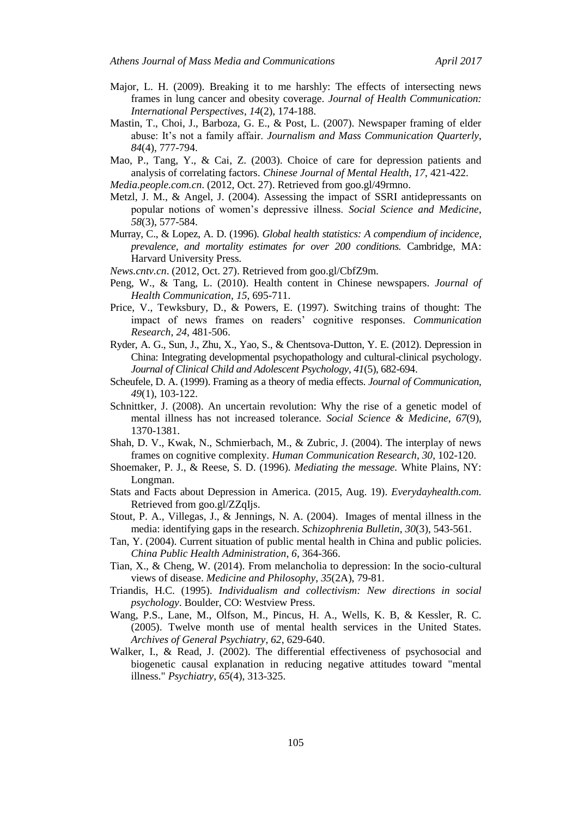- Major, L. H. (2009). Breaking it to me harshly: The effects of intersecting news frames in lung cancer and obesity coverage. *Journal of Health Communication: International Perspectives*, *14*(2), 174-188.
- Mastin, T., Choi, J., Barboza, G. E., & Post, L. (2007). Newspaper framing of elder abuse: It's not a family affair. *Journalism and Mass Communication Quarterly*, *84*(4), 777-794.
- Mao, P., Tang, Y., & Cai, Z. (2003). Choice of care for depression patients and analysis of correlating factors. *Chinese Journal of Mental Health*, *17*, 421-422.

*Media.people.com.cn*. (2012, Oct. 27). Retrieved from goo.gl/49rmno.

- Metzl, J. M., & Angel, J. (2004). Assessing the impact of SSRI antidepressants on popular notions of women's depressive illness. *Social Science and Medicine*, *58*(3), 577-584.
- Murray, C., & Lopez, A. D. (1996). *Global health statistics: A compendium of incidence, prevalence, and mortality estimates for over 200 conditions.* Cambridge, MA: Harvard University Press*.*
- *News.cntv.cn*. (2012, Oct. 27). Retrieved from goo.gl/CbfZ9m.
- Peng, W., & Tang, L. (2010). Health content in Chinese newspapers. *Journal of Health Communication*, *15*, 695-711.
- Price, V., Tewksbury, D., & Powers, E. (1997). Switching trains of thought: The impact of news frames on readers' cognitive responses. *Communication Research*, *24*, 481-506.
- Ryder, A. G., Sun, J., Zhu, X., Yao, S., & Chentsova-Dutton, Y. E. (2012). Depression in China: Integrating developmental psychopathology and cultural-clinical psychology. *Journal of Clinical Child and Adolescent Psychology*, *41*(5), 682-694.
- Scheufele, D. A. (1999). Framing as a theory of media effects. *Journal of Communication*, *49*(1), 103-122.
- Schnittker, J. (2008). An uncertain revolution: Why the rise of a genetic model of mental illness has not increased tolerance. *Social Science & Medicine*, *67*(9), 1370-1381.
- Shah, D. V., Kwak, N., Schmierbach, M., & Zubric, J. (2004). The interplay of news frames on cognitive complexity. *Human Communication Research*, *30*, 102-120.
- Shoemaker, P. J., & Reese, S. D. (1996). *Mediating the message.* White Plains, NY: Longman.
- Stats and Facts about Depression in America. (2015, Aug. 19). *Everydayhealth.com.*  Retrieved from goo.gl/ZZqIjs.
- Stout, P. A., Villegas, J., & Jennings, N. A. (2004). Images of mental illness in the media: identifying gaps in the research. *Schizophrenia Bulletin*, *30*(3), 543-561.
- Tan, Y. (2004). Current situation of public mental health in China and public policies. *China Public Health Administration*, *6*, 364-366.
- Tian, X., & Cheng, W. (2014). From melancholia to depression: In the socio-cultural views of disease. *Medicine and Philosophy*, *35*(2A), 79-81.
- Triandis, H.C. (1995). *Individualism and collectivism: New directions in social psychology*. Boulder, CO: Westview Press.
- Wang, P.S., Lane, M., Olfson, M., Pincus, H. A., Wells, K. B, & Kessler, R. C. (2005). Twelve month use of mental health services in the United States. *Archives of General Psychiatry*, *62*, 629-640.
- Walker, I., & Read, J. (2002). The differential effectiveness of psychosocial and biogenetic causal explanation in reducing negative attitudes toward "mental illness." *Psychiatry*, *65*(4), 313-325.